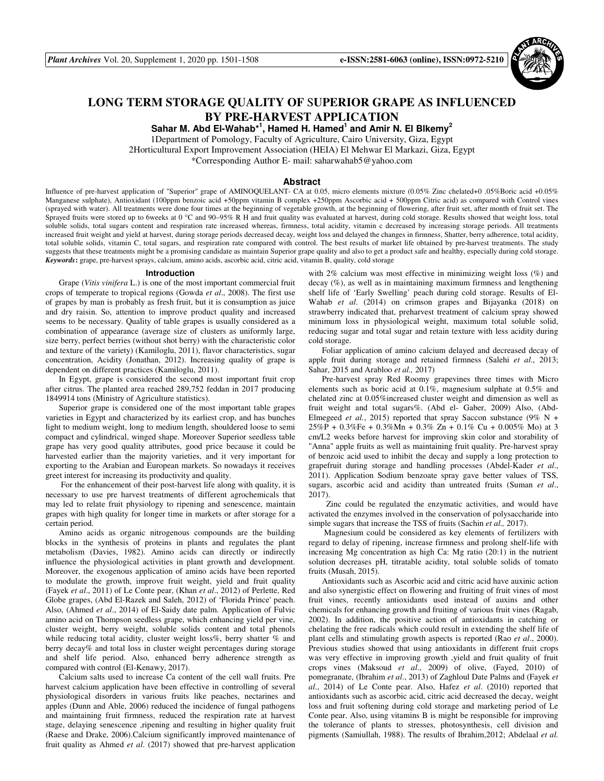

# **LONG TERM STORAGE QUALITY OF** S**UPERIOR GRAPE AS INFLUENCED BY PRE-HARVEST APPLICATION**

**Sahar M. Abd El-Wahab\*<sup>1</sup> , Hamed H. Hamed<sup>1</sup> and Amir N. El Blkemy<sup>2</sup>** 1Department of Pomology, Faculty of Agriculture, Cairo University, Giza, Egypt 2Horticultural Export Improvement Association (HEIA) El Mehwar El Markazi, Giza, Egypt \*Corresponding Author E- mail: saharwahab5@yahoo.com

#### **Abstract**

Influence of pre-harvest application of "Superior" grape of AMINOQUELANT- CA at 0.05, micro elements mixture (0.05% Zinc chelated+0 .05%Boric acid +0.05% Manganese sulphate), Antioxidant (100ppm benzoic acid +50ppm vitamin B complex +250ppm Ascorbic acid + 500ppm Citric acid) as compared with Control vines (sprayed with water). All treatments were done four times at the beginning of vegetable growth, at the beginning of flowering, after fruit set, after month of fruit set. The Sprayed fruits were stored up to 6weeks at 0 °C and 90–95% R H and fruit quality was evaluated at harvest, during cold storage. Results showed that weight loss, total soluble solids, total sugars content and respiration rate increased whereas, firmness, total acidity, vitamin c decreased by increasing storage periods. All treatments increased fruit weight and yield at harvest, during storage periods decreased decay, weight loss and delayed the changes in firmness, Shatter, berry adherence, total acidity, total soluble solids, vitamin C, total sugars, and respiration rate compared with control. The best results of market life obtained by pre-harvest treatments. The study suggests that these treatments might be a promising candidate as maintain Superior grape quality and also to get a product safe and healthy, especially during cold storage. *Keywords***:** grape, pre-harvest sprays, calcium, amino acids, ascorbic acid, citric acid, vitamin B, quality, cold storage

#### **Introduction**

Grape (*Vitis vinifera* L.) is one of the most important commercial fruit crops of temperate to tropical regions (Gowda *et al*., 2008). The first use of grapes by man is probably as fresh fruit, but it is consumption as juice and dry raisin. So, attention to improve product quality and increased seems to be necessary. Quality of table grapes is usually considered as a combination of appearance (average size of clusters as uniformly large, size berry, perfect berries (without shot berry) with the characteristic color and texture of the variety) (Kamiloglu, 2011), flavor characteristics, sugar concentration, Acidity (Jonathan, 2012). Increasing quality of grape is dependent on different practices (Kamiloglu, 2011).

In Egypt, grape is considered the second most important fruit crop after citrus. The planted area reached 289,752 feddan in 2017 producing 1849914 tons (Ministry of Agriculture statistics).

Superior grape is considered one of the most important table grapes varieties in Egypt and characterized by its earliest crop, and has bunches light to medium weight, long to medium length, shouldered loose to semi compact and cylindrical, winged shape. Moreover Superior seedless table grape has very good quality attributes, good price because it could be harvested earlier than the majority varieties, and it very important for exporting to the Arabian and European markets. So nowadays it receives greet interest for increasing its productivity and quality.

 For the enhancement of their post-harvest life along with quality, it is necessary to use pre harvest treatments of different agrochemicals that may led to relate fruit physiology to ripening and senescence, maintain grapes with high quality for longer time in markets or after storage for a certain period.

Amino acids as organic nitrogenous compounds are the building blocks in the synthesis of proteins in plants and regulates the plant metabolism (Davies, 1982). Amino acids can directly or indirectly influence the physiological activities in plant growth and development. Moreover, the exogenous application of amino acids have been reported to modulate the growth, improve fruit weight, yield and fruit quality (Fayek *et al*., 2011) of Le Conte pear, (Khan *et al*., 2012) of Perlette, Red Globe grapes, (Abd El-Razek and Saleh, 2012) of 'Florida Prince' peach. Also, (Ahmed *et al*., 2014) of El-Saidy date palm. Application of Fulvic amino acid on Thompson seedless grape, which enhancing yield per vine, cluster weight, berry weight, soluble solids content and total phenols while reducing total acidity, cluster weight loss%, berry shatter % and berry decay% and total loss in cluster weight percentages during storage and shelf life period. Also, enhanced berry adherence strength as compared with control (El-Kenawy, 2017).

Calcium salts used to increase Ca content of the cell wall fruits. Pre harvest calcium application have been effective in controlling of several physiological disorders in various fruits like peaches, nectarines and apples (Dunn and Able, 2006) reduced the incidence of fungal pathogens and maintaining fruit firmness, reduced the respiration rate at harvest stage, delaying senescence ,ripening and resulting in higher quality fruit (Raese and Drake, 2006).Calcium significantly improved maintenance of fruit quality as Ahmed *et al*. (2017) showed that pre-harvest application

with 2% calcium was most effective in minimizing weight loss (%) and decay (%), as well as in maintaining maximum firmness and lengthening shelf life of 'Early Swelling' peach during cold storage. Results of El-Wahab *et al*. (2014) on crimson grapes and Bijayanka (2018) on strawberry indicated that, preharvest treatment of calcium spray showed minimum loss in physiological weight, maximum total soluble solid, reducing sugar and total sugar and retain texture with less acidity during cold storage.

Foliar application of amino calcium delayed and decreased decay of apple fruit during storage and retained firmness (Salehi *et al*., 2013; Sahar, 2015 and Arabloo *et al.,* 2017)

Pre-harvest spray Red Roomy grapevines three times with Micro elements such as boric acid at 0.1%, magnesium sulphate at 0.5% and chelated zinc at 0.05%increased cluster weight and dimension as well as fruit weight and total sugars%. (Abd el- Gaber, 2009) Also, (Abd-Elmegeed *et al.*, 2015) reported that spray Saccon substance (9% N +  $25\%P + 0.3\%Fe + 0.3\%Mn + 0.3\% Zn + 0.1\% Cu + 0.005\% Mo$  at 3 cm/L2 weeks before harvest for improving skin color and storability of "Anna" apple fruits as well as maintaining fruit quality. Pre-harvest spray of benzoic acid used to inhibit the decay and supply a long protection to grapefruit during storage and handling processes (Abdel-Kader *et al*., 2011). Application Sodium benzoate spray gave better values of TSS, sugars, ascorbic acid and acidity than untreated fruits (Suman *et al*., 2017).

Zinc could be regulated the enzymatic activities, and would have activated the enzymes involved in the conservation of polysaccharide into simple sugars that increase the TSS of fruits (Sachin *et al.,* 2017).

 Magnesium could be considered as key elements of fertilizers with regard to delay of ripening, increase firmness and prolong shelf-life with increasing Mg concentration as high Ca: Mg ratio (20:1) in the nutrient solution decreases pH, titratable acidity, total soluble solids of tomato fruits (Musah, 2015).

Antioxidants such as Ascorbic acid and citric acid have auxinic action and also synergistic effect on flowering and fruiting of fruit vines of most fruit vines, recently antioxidants used instead of auxins and other chemicals for enhancing growth and fruiting of various fruit vines (Ragab, 2002). In addition, the positive action of antioxidants in catching or chelating the free radicals which could result in extending the shelf life of plant cells and stimulating growth aspects is reported (Rao *et al*., 2000). Previous studies showed that using antioxidants in different fruit crops was very effective in improving growth ,yield and fruit quality of fruit crops vines (Maksoud *et al*., 2009) of olive, (Fayed, 2010) of pomegranate, (Ibrahim *et al*., 2013) of Zaghloul Date Palms and (Fayek *et al*., 2014) of Le Conte pear. Also, Hafez *et al*. (2010) reported that antioxidants such as ascorbic acid, citric acid decreased the decay, weight loss and fruit softening during cold storage and marketing period of Le Conte pear. Also, using vitamins B is might be responsible for improving the tolerance of plants to stresses, photosynthesis, cell division and pigments (Samiullah, 1988). The results of Ibrahim,2012; Abdelaal *et al.*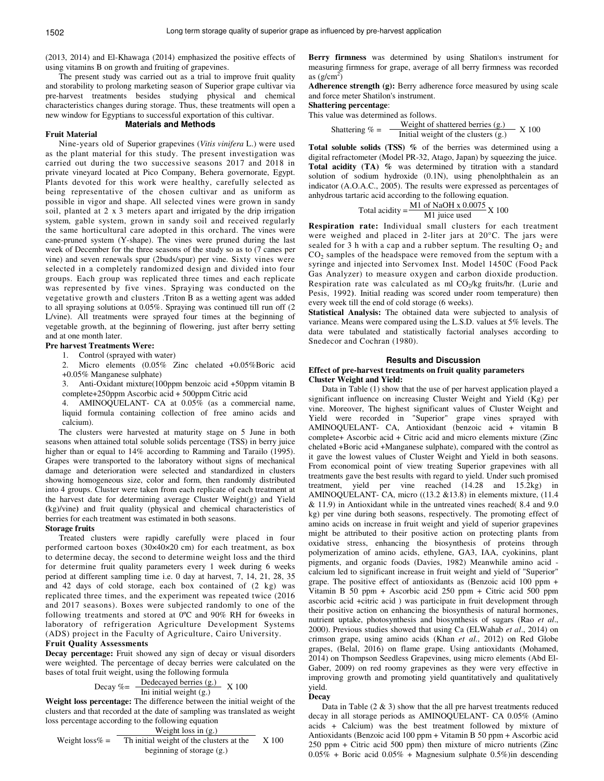(2013, 2014) and El-Khawaga (2014) emphasized the positive effects of using vitamins B on growth and fruiting of grapevines.

The present study was carried out as a trial to improve fruit quality and storability to prolong marketing season of Superior grape cultivar via pre-harvest treatments besides studying physical and chemical characteristics changes during storage. Thus, these treatments will open a new window for Egyptians to successful exportation of this cultivar.

#### **Materials and Methods**

# **Fruit Material**

Nine-years old of Superior grapevines (*Vitis vinifera* L.) were used as the plant material for this study. The present investigation was carried out during the two successive seasons 2017 and 2018 in private vineyard located at Pico Company, Behera governorate, Egypt. Plants devoted for this work were healthy, carefully selected as being representative of the chosen cultivar and as uniform as possible in vigor and shape. All selected vines were grown in sandy soil, planted at 2 x 3 meters apart and irrigated by the drip irrigation system, gable system, grown in sandy soil and received regularly the same horticultural care adopted in this orchard. The vines were cane-pruned system (Y-shape). The vines were pruned during the last week of December for the three seasons of the study so as to (7 canes per vine) and seven renewals spur (2buds/spur) per vine. Sixty vines were selected in a completely randomized design and divided into four groups. Each group was replicated three times and each replicate was represented by five vines. Spraying was conducted on the vegetative growth and clusters .Triton B as a wetting agent was added to all spraying solutions at 0.05%. Spraying was continued till run off (2 L/vine). All treatments were sprayed four times at the beginning of vegetable growth, at the beginning of flowering, just after berry setting and at one month later.

# **Pre harvest Treatments Were:**

1. Control (sprayed with water)

2. Micro elements (0.05% Zinc chelated +0.05%Boric acid +0.05% Manganese sulphate)

3. Anti-Oxidant mixture(100ppm benzoic acid +50ppm vitamin B complete+250ppm Ascorbic acid + 500ppm Citric acid

4. AMINOQUELANT- CA at 0.05% (as a commercial name, liquid formula containing collection of free amino acids and calcium).

The clusters were harvested at maturity stage on 5 June in both seasons when attained total soluble solids percentage (TSS) in berry juice higher than or equal to 14% according to Ramming and Tarailo (1995). Grapes were transported to the laboratory without signs of mechanical damage and deterioration were selected and standardized in clusters showing homogeneous size, color and form, then randomly distributed into 4 groups. Cluster were taken from each replicate of each treatment at the harvest date for determining average Cluster Weight(g) and Yield **(**kg)/vine**)** and fruit quality (physical and chemical characteristics of berries for each treatment was estimated in both seasons.

# **Storage fruits**

Treated clusters were rapidly carefully were placed in four performed cartoon boxes (30×40×20 cm) for each treatment, as box to determine decay, the second to determine weight loss and the third for determine fruit quality parameters every 1 week during 6 weeks period at different sampling time i.e. 0 day at harvest, 7, 14, 21, 28, 35 and 42 days of cold storage, each box contained of (2 kg) was replicated three times, and the experiment was repeated twice (2016 and 2017 seasons). Boxes were subjected randomly to one of the following treatments and stored at 0ºC and 90% RH for 6weeks in laboratory of refrigeration Agriculture Development Systems (ADS) project in the Faculty of Agriculture, Cairo University.

# **Fruit Quality Assessments**

**Decay percentage:** Fruit showed any sign of decay or visual disorders were weighted. The percentage of decay berries were calculated on the bases of total fruit weight, using the following formula

Decay 
$$
\% = \frac{\text{Dedecayed berries (g.)}}{\text{Ini initial weight (g.)}} \times 100
$$

**Weight loss percentage:** The difference between the initial weight of the clusters and that recorded at the date of sampling was translated as weight loss percentage according to the following equation

Weight loss in 
$$
(g.)
$$

Weight loss% = Th initial weight of the clusters at the 
$$
X
$$
 100 beginning of storage (g.)

Berry firmness was determined by using Shatilon's instrument for measuring firmness for grape, average of all berry firmness was recorded as  $(g/cm^2)$ 

**Adherence strength (g):** Berry adherence force measured by using scale and force meter Shatilon's instrument.

# **Shattering percentage**:

This value was determined as follows.

Shattering 
$$
\% = \frac{\text{Weight of shattered berries (g.)}}{\text{Initial weight of the clusters (g.)}} \times 100
$$

**Total soluble solids (TSS) %** of the berries was determined using a digital refractometer (Model PR-32, Atago, Japan) by squeezing the juice. **Total acidity (TA) %** was determined by titration with a standard solution of sodium hydroxide (0.1N), using phenolphthalein as an indicator (A.O.A.C., 2005). The results were expressed as percentages of anhydrous tartaric acid according to the following equation.

Total acidity = 
$$
\frac{\text{M1 of NaOH} \times 0.0075}{\text{M1 juice used}} \times 100
$$

**Respiration rate:** Individual small clusters for each treatment were weighed and placed in 2-liter jars at 20°C. The jars were sealed for 3 h with a cap and a rubber septum. The resulting  $O_2$  and  $CO<sub>2</sub>$  samples of the headspace were removed from the septum with a syringe and injected into Servomex Inst. Model 1450C (Food Pack Gas Analyzer) to measure oxygen and carbon dioxide production. Respiration rate was calculated as ml  $CO<sub>2</sub>/kg$  fruits/hr. (Lurie and Pesis, 1992**)**. Initial reading was scored under room temperature) then every week till the end of cold storage (6 weeks).

**Statistical Analysis:** The obtained data were subjected to analysis of variance. Means were compared using the L.S.D. values at 5% levels. The data were tabulated and statistically factorial analyses according to Snedecor and Cochran (1980).

#### **Results and Discussion**

# **Effect of pre-harvest treatments on fruit quality parameters Cluster Weight and Yield:**

Data in Table (1) show that the use of per harvest application played a significant influence on increasing Cluster Weight and Yield (Kg) per vine. Moreover, The highest significant values of Cluster Weight and Yield were recorded in "Superior" grape vines sprayed with AMINOQUELANT- CA, Antioxidant (benzoic acid + vitamin B complete+ Ascorbic acid + Citric acid and micro elements mixture (Zinc chelated +Boric acid +Manganese sulphate), compared with the control as it gave the lowest values of Cluster Weight and Yield in both seasons. From economical point of view treating Superior grapevines with all treatments gave the best results with regard to yield. Under such promised treatment, yield per vine reached (14.28 and 15.2kg) in AMINOQUELANT- CA, micro ((13.2 &13.8) in elements mixture, (11.4 & 11.9) in Antioxidant while in the untreated vines reached( 8.4 and 9.0 kg) per vine during both seasons, respectively. The promoting effect of amino acids on increase in fruit weight and yield of superior grapevines might be attributed to their positive action on protecting plants from oxidative stress, enhancing the biosynthesis of proteins through polymerization of amino acids, ethylene, GA3, IAA, cyokinins, plant pigments, and organic foods (Davies, 1982) Meanwhile amino acid calcium led to significant increase in fruit weight and yield of "Superior" grape. The positive effect of antioxidants as (Benzoic acid 100 ppm + Vitamin B 50 ppm + Ascorbic acid 250 ppm + Citric acid 500 ppm ascorbic acid +citric acid ) was participate in fruit development through their positive action on enhancing the biosynthesis of natural hormones, nutrient uptake, photosynthesis and biosynthesis of sugars (Rao *et al*., 2000). Previous studies showed that using Ca (ELWahab *et al*., 2014) on crimson grape, using amino acids (Khan *et al*., 2012) on Red Globe grapes, (Belal, 2016) on flame grape. Using antioxidants (Mohamed, 2014) on Thompson Seedless Grapevines, using micro elements (Abd El-Gaber, 2009) on red roomy grapevines as they were very effective in improving growth and promoting yield quantitatively and qualitatively yield.

#### **Decay**

Data in Table  $(2 \& 3)$  show that the all pre harvest treatments reduced decay in all storage periods as AMINOQUELANT- CA 0.05% (Amino acids + Calcium) was the best treatment followed by mixture of Antioxidants (Benzoic acid 100 ppm + Vitamin B 50 ppm + Ascorbic acid 250 ppm + Citric acid 500 ppm) then mixture of micro nutrients (Zinc  $0.05\%$  + Boric acid  $0.05\%$  + Magnesium sulphate  $0.5\%$ )in descending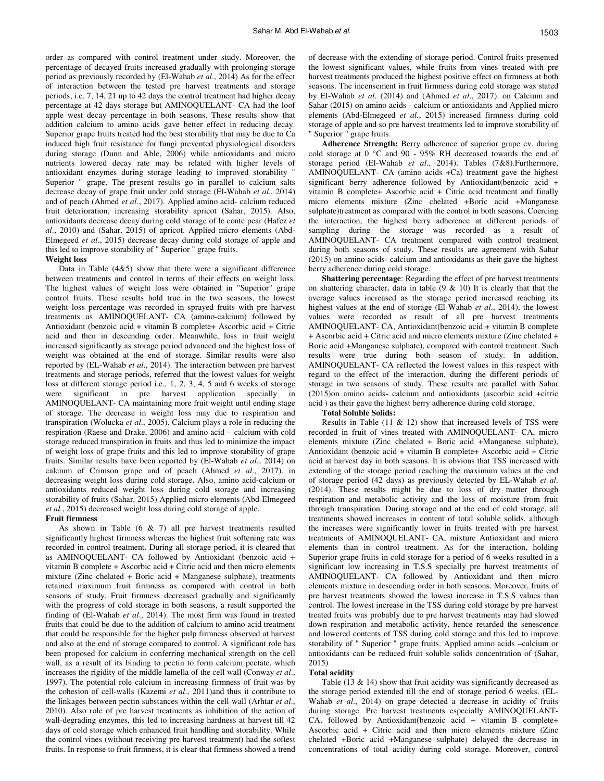order as compared with control treatment under study. Moreover, the percentage of decayed fruits increased gradually with prolonging storage period as previously recorded by (El-Wahab *et al*., 2014) As for the effect of interaction between the tested pre harvest treatments and storage periods, i.e. 7, 14, 21 up to 42 days the control treatment had higher decay percentage at 42 days storage but AMINOQUELANT- CA had the loof apple west decay percentage in both seasons. These results show that addition calcium to amino acids gave better effect in reducing decay. Superior grape fruits treated had the best storability that may be due to Ca induced high fruit resistance for fungi prevented physiological disorders during storage (Dunn and Able, 2006) while antioxidants and micro nutrients lowered decay rate may be related with higher levels of antioxidant enzymes during storage leading to improved storability " Superior " grape. The present results go in parallel to calcium salts decrease decay of grape fruit under cold storage (El-Wahab *et al*., 2014) and of peach (Ahmed *et al*., 2017). Applied amino acid- calcium reduced fruit deterioration, increasing storability apricot (Sahar, 2015). Also, antioxidants decrease decay during cold storage of le conte pear (Hafez *et al*., 2010) and (Sahar, 2015) of apricot. Applied micro elements (Abd-Elmegeed *et al.*, 2015) decrease decay during cold storage of apple and this led to improve storability of " Superior " grape fruits.

# **Weight loss**

Data in Table  $(4&5)$  show that there were a significant difference between treatments and control in terms of their effects on weight loss. The highest values of weight loss were obtained in "Superior" grape control fruits. These results hold true in the two seasons, the lowest weight loss percentage was recorded in sprayed fruits with pre harvest treatments as AMINOQUELANT- CA (amino-calcium) followed by Antioxidant (benzoic acid + vitamin B complete+ Ascorbic acid + Citric acid and then in descending order. Meanwhile, loss in fruit weight increased significantly as storage period advanced and the highest loss of weight was obtained at the end of storage. Similar results were also reported by (EL-Wahab *et al*., 2014). The interaction between pre harvest treatments and storage periods, referred that the lowest values for weight loss at different storage period i.e., 1, 2, 3, 4, 5 and 6 weeks of storage were significant in pre harvest application specially in AMINOQUELANT- CA maintaining more fruit weight until ending stage of storage. The decrease in weight loss may due to respiration and transpiration (Wolucka *et al*., 2005). Calcium plays a role in reducing the respiration (Raese and Drake, 2006) and amino acid – calcium with cold storage reduced transpiration in fruits and thus led to minimize the impact of weight loss of grape fruits and this led to improve storability of grape fruits. Similar results have been reported by (El-Wahab *et al*., 2014) on calcium of Crimson grape and of peach (Ahmed *et al*., 2017). in decreasing weight loss during cold storage. Also, amino acid-calcium or antioxidants reduced weight loss during cold storage and increasing storability of fruits (Sahar, 2015) Applied micro elements (Abd-Elmegeed *et al.*, 2015) decreased weight loss during cold storage of apple. **Fruit firmness** 

As shown in Table  $(6 \& 7)$  all pre harvest treatments resulted significantly highest firmness whereas the highest fruit softening rate was recorded in control treatment. During all storage period, it is cleared that as AMINOQUELANT- CA followed by Antioxidant (benzoic acid + vitamin B complete  $+$  Ascorbic acid  $+$  Citric acid and then micro elements mixture (Zinc chelated + Boric acid + Manganese sulphate), treatments retained maximum fruit firmness as compared with control in both seasons of study. Fruit firmness decreased gradually and significantly with the progress of cold storage in both seasons, a result supported the finding of (El-Wahab *et al*., 2014). The most firm was found in treated fruits that could be due to the addition of calcium to amino acid treatment that could be responsible for the higher pulp firmness observed at harvest and also at the end of storage compared to control. A significant role has been proposed for calcium in conferring mechanical strength on the cell wall, as a result of its binding to pectin to form calcium pectate, which increases the rigidity of the middle lamella of the cell wall (Conway *et al*., 1997). The potential role calcium in increasing firmness of fruit was by the cohesion of cell-walls (Kazemi *et al*., 2011)and thus it contribute to the linkages between pectin substances within the cell-wall (Arhtar *et al*., 2010). Also role of pre harvest treatments as inhibition of the action of wall-degrading enzymes, this led to increasing hardness at harvest till 42 days of cold storage which enhanced fruit handling and storability. While the control vines (without receiving pre harvest treatment) had the softest fruits. In response to fruit firmness, it is clear that firmness showed a trend of decrease with the extending of storage period. Control fruits presented the lowest significant values, while fruits from vines treated with pre harvest treatments produced the highest positive effect on firmness at both seasons. The incensement in fruit firmness during cold storage was stated by El-Wahab *et al*. (2014) and (Ahmed *et al*., 2017). on Calcium and Sahar (2015) on amino acids - calcium or antioxidants and Applied micro elements (Abd-Elmegeed *et al.*, 2015) increased firmness during cold storage of apple and so pre harvest treatments led to improve storability of " Superior " grape fruits.

**Adherence Strength:** Berry adherence of superior grape cv. during cold storage at 0 °C and 90 - 95% RH decreased towards the end of storage period (El-Wahab *et al*., 2014). Tables (7&8).Furthermore, AMINOQUELANT- CA (amino acids +Ca) treatment gave the highest significant berry adherence followed by Antioxidant(benzoic acid + vitamin B complete+ Ascorbic acid + Citric acid treatment and finally micro elements mixture (Zinc chelated +Boric acid +Manganese sulphate)treatment as compared with the control in both seasons. Coercing the interaction, the highest berry adherence at different periods of sampling during the storage was recorded as a result of AMINOQUELANT- CA treatment compared with control treatment during both seasons of study. These results are agreement with Sahar (2015) on amino acids- calcium and antioxidants as their gave the highest berry adherence during cold storage.

**Shattering percentage**: Regarding the effect of pre harvest treatments on shattering character, data in table  $(9 \& 10)$  It is clearly that that the average values increased as the storage period increased reaching its highest values at the end of storage (El-Wahab *et al*., 2014), the lowest values were recorded as result of all pre harvest treatments AMINOQUELANT- CA, Antioxidant(benzoic acid + vitamin B complete + Ascorbic acid + Citric acid and micro elements mixture (Zinc chelated + Boric acid +Manganese sulphate), compared with control treatment. Such results were true during both season of study. In addition, AMINOQUELANT- CA reflected the lowest values in this respect with regard to the effect of the interaction, during the different periods of storage in two seasons of study. These results are parallel with Sahar (2015)on amino acids- calcium and antioxidants (ascorbic acid +citric acid ) as their gave the highest berry adherence during cold storage.

#### **Total Soluble Solids:**

Results in Table (11 & 12) show that increased levels of TSS were recorded in fruit of vines treated with AMINOQUELANT- CA, micro elements mixture (Zinc chelated + Boric acid +Manganese sulphate), Antioxidant (benzoic acid + vitamin B complete+ Ascorbic acid + Citric acid at harvest day in both seasons. It is obvious that TSS increased with extending of the storage period reaching the maximum values at the end of storage period (42 days) as previously detected by EL-Wahab *et al*. (2014). These results might be due to loss of dry matter through respiration and metabolic activity and the loss of moisture from fruit through transpiration. During storage and at the end of cold storage, all treatments showed increases in content of total soluble solids, although the increases were significantly lower in fruits treated with pre harvest treatments of AMINOQUELANT- CA, mixture Antioxidant and micro elements than in control treatment. As for the interaction, holding Superior grape fruits in cold storage for a period of 6 weeks resulted in a significant low increasing in T.S.S specially pre harvest treatments of AMINOQUELANT- CA followed by Antioxidant and then micro elements mixture in descending order in both seasons. Moreover, fruits of pre harvest treatments showed the lowest increase in T.S.S values than control. The lowest increase in the TSS during cold storage by pre harvest treated fruits was probably due to pre harvest treatments may had slowed down respiration and metabolic activity, hence retarded the senescence and lowered contents of TSS during cold storage and this led to improve storability of " Superior " grape fruits. Applied amino acids –calcium or antioxidants can be reduced fruit soluble solids concentration of (Sahar, 2015)

#### **Total acidity**

Table  $(13 \& 14)$  show that fruit acidity was significantly decreased as the storage period extended till the end of storage period 6 weeks. (EL-Wahab *et al*., 2014) on grape detected a decrease in acidity of fruits during storage. Pre harvest treatments especially AMINOQUELANT-CA, followed by Antioxidant(benzoic acid + vitamin B complete+ Ascorbic acid + Citric acid and then micro elements mixture (Zinc chelated +Boric acid +Manganese sulphate) delayed the decrease in concentrations of total acidity during cold storage. Moreover, control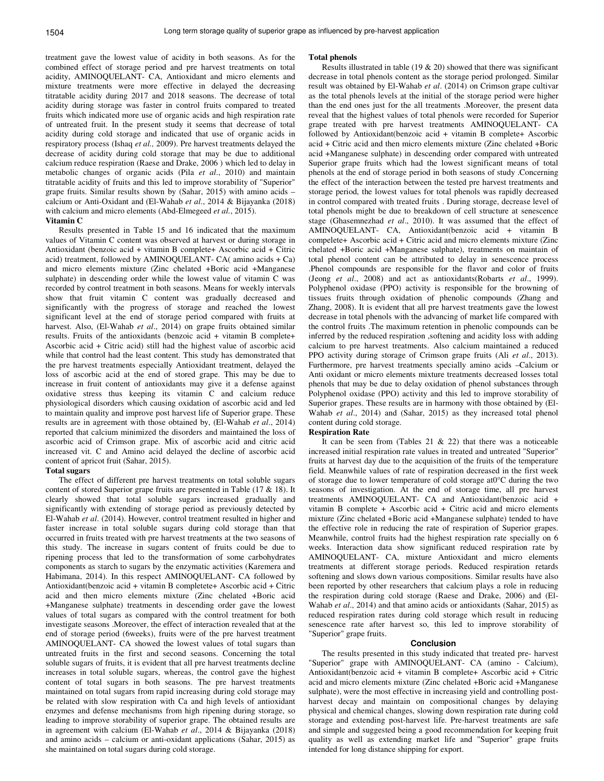treatment gave the lowest value of acidity in both seasons. As for the combined effect of storage period and pre harvest treatments on total acidity, AMINOQUELANT- CA, Antioxidant and micro elements and mixture treatments were more effective in delayed the decreasing titratable acidity during 2017 and 2018 seasons. The decrease of total acidity during storage was faster in control fruits compared to treated fruits which indicated more use of organic acids and high respiration rate of untreated fruit. In the present study it seems that decrease of total acidity during cold storage and indicated that use of organic acids in respiratory process (Ishaq *et al.,* 2009). Pre harvest treatments delayed the decrease of acidity during cold storage that may be due to additional calcium reduce respiration (Raese and Drake, 2006 ) which led to delay in metabolic changes of organic acids (Pila *et al*., 2010) and maintain titratable acidity of fruits and this led to improve storability of "Superior" grape fruits. Similar results shown by (Sahar, 2015) with amino acids – calcium or Anti-Oxidant and (El-Wahab *et al*., 2014 & Bijayanka (2018) with calcium and micro elements (Abd-Elmegeed *et al.*, 2015).

# **Vitamin C**

Results presented in Table 15 and 16 indicated that the maximum values of Vitamin C content was observed at harvest or during storage in Antioxidant (benzoic acid + vitamin B complete+ Ascorbic acid + Citric acid) treatment, followed by AMINOQUELANT- CA( amino acids + Ca) and micro elements mixture (Zinc chelated +Boric acid +Manganese sulphate) in descending order while the lowest value of vitamin C was recorded by control treatment in both seasons. Means for weekly intervals show that fruit vitamin C content was gradually decreased and significantly with the progress of storage and reached the lowest significant level at the end of storage period compared with fruits at harvest. Also, (El-Wahab *et al*., 2014) on grape fruits obtained similar results. Fruits of the antioxidants (benzoic acid + vitamin B complete+ Ascorbic acid + Citric acid) still had the highest value of ascorbic acid while that control had the least content. This study has demonstrated that the pre harvest treatments especially Antioxidant treatment, delayed the loss of ascorbic acid at the end of stored grape. This may be due to increase in fruit content of antioxidants may give it a defense against oxidative stress thus keeping its vitamin C and calcium reduce physiological disorders which causing oxidation of ascorbic acid and led to maintain quality and improve post harvest life of Superior grape. These results are in agreement with those obtained by, (El-Wahab *et al*., 2014) reported that calcium minimized the disorders and maintained the loss of ascorbic acid of Crimson grape. Mix of ascorbic acid and citric acid increased vit. C and Amino acid delayed the decline of ascorbic acid content of apricot fruit (Sahar, 2015).

#### **Total sugars**

The effect of different pre harvest treatments on total soluble sugars content of stored Superior grape fruits are presented in Table (17 & 18). It clearly showed that total soluble sugars increased gradually and significantly with extending of storage period as previously detected by El-Wahab *et al*. (2014). However, control treatment resulted in higher and faster increase in total soluble sugars during cold storage than that occurred in fruits treated with pre harvest treatments at the two seasons of this study. The increase in sugars content of fruits could be due to ripening process that led to the transformation of some carbohydrates components as starch to sugars by the enzymatic activities (Karemera and Habimana, 2014). In this respect AMINOQUELANT- CA followed by Antioxidant(benzoic acid + vitamin B completete+ Ascorbic acid + Citric acid and then micro elements mixture (Zinc chelated +Boric acid +Manganese sulphate) treatments in descending order gave the lowest values of total sugars as compared with the control treatment for both investigate seasons .Moreover, the effect of interaction revealed that at the end of storage period (6weeks), fruits were of the pre harvest treatment AMINOQUELANT- CA showed the lowest values of total sugars than untreated fruits in the first and second seasons. Concerning the total soluble sugars of fruits, it is evident that all pre harvest treatments decline increases in total soluble sugars, whereas, the control gave the highest content of total sugars in both seasons. The pre harvest treatments maintained on total sugars from rapid increasing during cold storage may be related with slow respiration with Ca and high levels of antioxidant enzymes and defense mechanisms from high ripening during storage, so leading to improve storability of superior grape. The obtained results are in agreement with calcium (El-Wahab *et al*., 2014 & Bijayanka (2018) and amino acids – calcium or anti-oxidant applications (Sahar, 2015) as she maintained on total sugars during cold storage.

#### **Total phenols**

Results illustrated in table (19  $\&$  20) showed that there was significant decrease in total phenols content as the storage period prolonged. Similar result was obtained by El-Wahab *et al*. (2014) on Crimson grape cultivar as the total phenols levels at the initial of the storage period were higher than the end ones just for the all treatments .Moreover, the present data reveal that the highest values of total phenols were recorded for Superior grape treated with pre harvest treatments AMINOQUELANT- CA followed by Antioxidant(benzoic acid + vitamin B complete+ Ascorbic acid + Citric acid and then micro elements mixture (Zinc chelated +Boric acid +Manganese sulphate) in descending order compared with untreated Superior grape fruits which had the lowest significant means of total phenols at the end of storage period in both seasons of study .Concerning the effect of the interaction between the tested pre harvest treatments and storage period, the lowest values for total phenols was rapidly decreased in control compared with treated fruits . During storage, decrease level of total phenols might be due to breakdown of cell structure at senescence stage (Ghasemnezhad *et al*., 2010). It was assumed that the effect of AMINOQUELANT- CA, Antioxidant(benzoic acid + vitamin B compelete+ Ascorbic acid + Citric acid and micro elements mixture (Zinc chelated +Boric acid +Manganese sulphate), treatments on maintain of total phenol content can be attributed to delay in senescence process .Phenol compounds are responsible for the flavor and color of fruits (Jeong *et al*., 2008) and act as antioxidants(Robarts *et al*., 1999). Polyphenol oxidase (PPO) activity is responsible for the browning of tissues fruits through oxidation of phenolic compounds (Zhang and Zhang, 2008). It is evident that all pre harvest treatments gave the lowest decrease in total phenols with the advancing of market life compared with the control fruits .The maximum retention in phenolic compounds can be inferred by the reduced respiration ,softening and acidity loss with adding calcium to pre harvest treatments. Also calcium maintained a reduced PPO activity during storage of Crimson grape fruits (Ali *et al*., 2013). Furthermore, pre harvest treatments specially amino acids –Calcium or Anti oxidant or micro elements mixture treatments decreased losses total phenols that may be due to delay oxidation of phenol substances through Polyphenol oxidase (PPO) activity and this led to improve storability of Superior grapes. These results are in harmony with those obtained by (El-Wahab *et al*., 2014) and (Sahar, 2015) as they increased total phenol content during cold storage.

# **Respiration Rate**

It can be seen from (Tables 21  $&$  22) that there was a noticeable increased initial respiration rate values in treated and untreated "Superior" fruits at harvest day due to the acquisition of the fruits of the temperature field. Meanwhile values of rate of respiration decreased in the first week of storage due to lower temperature of cold storage at0°C during the two seasons of investigation. At the end of storage time, all pre harvest treatments AMINOQUELANT- CA and Antioxidant(benzoic acid + vitamin B complete  $+$  Ascorbic acid  $+$  Citric acid and micro elements mixture (Zinc chelated +Boric acid +Manganese sulphate) tended to have the effective role in reducing the rate of respiration of Superior grapes. Meanwhile, control fruits had the highest respiration rate specially on 6 weeks. Interaction data show significant reduced respiration rate by AMINOQUELANT- CA, mixture Antioxidant and micro elements treatments at different storage periods. Reduced respiration retards softening and slows down various compositions. Similar results have also been reported by other researchers that calcium plays a role in reducing the respiration during cold storage (Raese and Drake, 2006) and (El-Wahab *et al*., 2014) and that amino acids or antioxidants (Sahar, 2015) as reduced respiration rates during cold storage which result in reducing senescence rate after harvest so, this led to improve storability of "Superior" grape fruits.

### **Conclusion**

The results presented in this study indicated that treated pre- harvest "Superior" grape with AMINOQUELANT- CA (amino - Calcium), Antioxidant(benzoic acid + vitamin B complete+ Ascorbic acid + Citric acid and micro elements mixture (Zinc chelated +Boric acid +Manganese sulphate), were the most effective in increasing yield and controlling postharvest decay and maintain on compositional changes by delaying physical and chemical changes, slowing down respiration rate during cold storage and extending post-harvest life. Pre-harvest treatments are safe and simple and suggested being a good recommendation for keeping fruit quality as well as extending market life and "Superior" grape fruits intended for long distance shipping for export.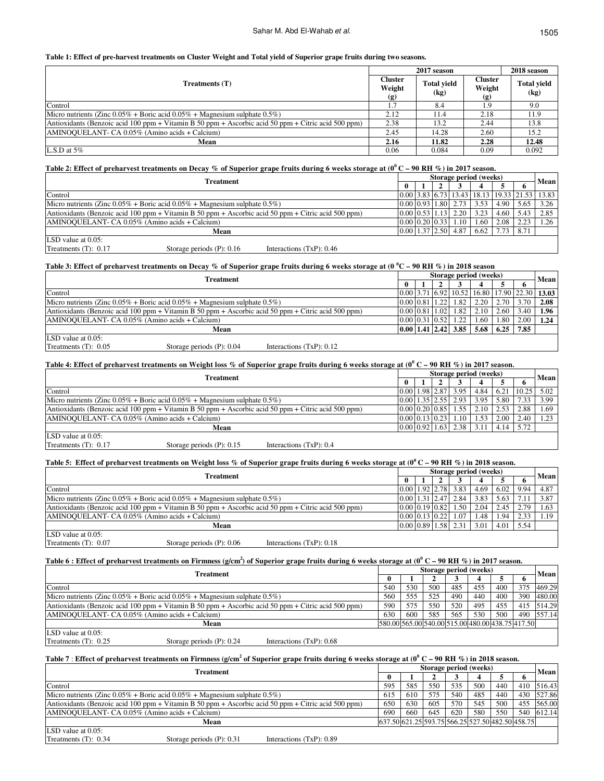# Sahar M. Abd El-Wahab et al.

### **Table 1: Effect of pre-harvest treatments on Cluster Weight and Total yield of Superior grape fruits during two seasons.**

|                                                                                                     | 2017 season                     |                            | 2018 season                     |                                             |  |
|-----------------------------------------------------------------------------------------------------|---------------------------------|----------------------------|---------------------------------|---------------------------------------------|--|
| Treatments (T)                                                                                      | <b>Cluster</b><br>Weight<br>(g) | <b>Total yield</b><br>(kg) | <b>Cluster</b><br>Weight<br>(g) | <b>Total vield</b><br>$\left($ kg $\right)$ |  |
| Control                                                                                             | 1.7                             | 8.4                        | 1.9                             | 9.0                                         |  |
| Micro nutrients (Zinc $0.05\%$ + Boric acid $0.05\%$ + Magnesium sulphate $0.5\%$ )                 | 2.12                            | 11.4                       | 2.18                            | 11.9                                        |  |
| Antioxidants (Benzoic acid 100 ppm + Vitamin B 50 ppm + Ascorbic acid 50 ppm + Citric acid 500 ppm) | 2.38                            | 13.2                       | 2.44                            | 13.8                                        |  |
| AMINOQUELANT- CA 0.05% (Amino acids + Calcium)                                                      | 2.45                            | 14.28                      | 2.60                            | 15.2                                        |  |
| Mean                                                                                                | 2.16                            | 11.82                      | 2.28                            | 12.48                                       |  |
| L.S.D at $5\%$                                                                                      | 0.06                            | 0.084                      | 0.09                            | 0.092                                       |  |

# **Table 2: Effect of preharvest treatments on Decay % of Superior grape fruits during 6 weeks storage at (0 <sup>0</sup>C – 90 RH %) in 2017 season.**

|                                                                                                     | <b>Treatment</b>             |                             |  | Storage period (weeks) |  |                                |      |      |      |                                                            |  |
|-----------------------------------------------------------------------------------------------------|------------------------------|-----------------------------|--|------------------------|--|--------------------------------|------|------|------|------------------------------------------------------------|--|
|                                                                                                     |                              |                             |  |                        |  |                                |      |      |      | Mean                                                       |  |
| Control                                                                                             |                              |                             |  |                        |  |                                |      |      |      | 0.00   3.83   6.73   13.43   18.13   19.33   21.53   13.83 |  |
| Micro nutrients (Zinc $0.05\%$ + Boric acid $0.05\%$ + Magnesium sulphate $0.5\%$ )                 |                              |                             |  |                        |  | $0.00 \, 0.93 \, 1.80 \, 2.73$ | 3.53 | 4.90 | 5.65 | 3.26                                                       |  |
| Antioxidants (Benzoic acid 100 ppm + Vitamin B 50 ppm + Ascorbic acid 50 ppm + Citric acid 500 ppm) |                              |                             |  |                        |  | 0.0010.5311.1312.20            | 3.23 | 4.60 | 5.43 | 2.85                                                       |  |
| AMINOQUELANT- CA 0.05% (Amino acids + Calcium)                                                      |                              |                             |  |                        |  | 0.00 0.20 0.33 1.10            | 1.60 | 2.08 | 2.23 | 1.26                                                       |  |
|                                                                                                     | Mean                         |                             |  |                        |  | 0.0011.3712.5014.87            | 6.62 | 7.73 | 8.71 |                                                            |  |
| LSD value at $0.05$ :                                                                               |                              |                             |  |                        |  |                                |      |      |      |                                                            |  |
| Treatments $(T)$ : 0.17                                                                             | Storage periods $(P)$ : 0.16 | Interactions $(TxP)$ : 0.46 |  |                        |  |                                |      |      |      |                                                            |  |

# **Table 3: Effect of preharvest treatments on Decay % of Superior grape fruits during 6 weeks storage at (0 <sup>0</sup>C – 90 RH %) in 2018 season**

| <b>Treatment</b>                                                                                    |  |  | Storage period (weeks) |                             |      |      |      |                                                                       |  |  |
|-----------------------------------------------------------------------------------------------------|--|--|------------------------|-----------------------------|------|------|------|-----------------------------------------------------------------------|--|--|
|                                                                                                     |  |  |                        |                             |      |      |      | <b>Mean</b>                                                           |  |  |
| Control                                                                                             |  |  |                        |                             |      |      |      | $(0.00 \, 3.71 \, 6.92 \, 10.52 \, 16.80 \, 17.90 \, 22.30 \, 13.03)$ |  |  |
| Micro nutrients (Zinc $0.05\%$ + Boric acid $0.05\%$ + Magnesium sulphate $0.5\%$ )                 |  |  |                        | 0.0010.8111.2211.82         | 2.20 | 2.70 | 3.70 | 2.08                                                                  |  |  |
| Antioxidants (Benzoic acid 100 ppm + Vitamin B 50 ppm + Ascorbic acid 50 ppm + Citric acid 500 ppm) |  |  |                        | $0.00$ $0.81$ $1.02$ $1.82$ | 2.10 | 2.60 | 3.40 | 1.96                                                                  |  |  |
| AMINOQUELANT- CA 0.05% (Amino acids + Calcium)                                                      |  |  |                        | 0.00 0.31 0.52 1.22         | 1.60 | 1.80 | 2.00 | 1.24                                                                  |  |  |
| Mean                                                                                                |  |  |                        | 0.00 1.41 2.42 3.85         | 5.68 | 6.25 | 7.85 |                                                                       |  |  |
| LSD value at $0.05$ :                                                                               |  |  |                        |                             |      |      |      |                                                                       |  |  |
| Treatments $(T)$ : 0.05<br>Storage periods $(P)$ : 0.04<br>Interactions $(TxP)$ : 0.12              |  |  |                        |                             |      |      |      |                                                                       |  |  |

### **Table 4: Effect of preharvest treatments on Weight loss % of Superior grape fruits during 6 weeks storage at (0<sup>0</sup> C – 90 RH %) in 2017 season.**

|                                                                                                     | Treatment                    |                            |  | Storage period (weeks) |                      |                                               |      |      |      |              |  |
|-----------------------------------------------------------------------------------------------------|------------------------------|----------------------------|--|------------------------|----------------------|-----------------------------------------------|------|------|------|--------------|--|
|                                                                                                     |                              |                            |  |                        |                      |                                               |      |      |      | <b>Mean</b>  |  |
| Control                                                                                             |                              |                            |  |                        |                      | $\vert 0.00 \vert 1.98 \vert 2.87 \vert 3.95$ | 4.84 | 6.21 |      | $10.25$ 5.02 |  |
| Micro nutrients (Zinc $0.05\%$ + Boric acid $0.05\%$ + Magnesium sulphate $0.5\%$ )                 |                              |                            |  |                        |                      | 0.00 1.35 2.55 2.93                           | 3.95 | 5.80 | 7.33 | 3.99         |  |
| Antioxidants (Benzoic acid 100 ppm + Vitamin B 50 ppm + Ascorbic acid 50 ppm + Citric acid 500 ppm) |                              |                            |  |                        |                      | $0.00 \,   \, 0.20 \,   \, 0.85 \,   \, 1.55$ | 2.10 | 2.53 | 2.88 | 1.69         |  |
| AMINOQUELANT- CA 0.05% (Amino acids + Calcium)                                                      |                              |                            |  |                        | $0.00$   0.13   0.23 | 1.10                                          | 1.53 | 2.00 | 2.40 | 1.23         |  |
|                                                                                                     | Mean                         |                            |  |                        |                      | $0.00$ $0.92$ $1.63$ $2.38$                   | 3.11 | 4.14 | 5.72 |              |  |
| LSD value at $0.05$ :                                                                               |                              |                            |  |                        |                      |                                               |      |      |      |              |  |
| Treatments $(T)$ : 0.17                                                                             | Storage periods $(P)$ : 0.15 | Interactions $(TxP)$ : 0.4 |  |                        |                      |                                               |      |      |      |              |  |

# **Table 5: Effect of preharvest treatments on Weight loss % of Superior grape fruits during 6 weeks storage at (0<sup>0</sup>C – 90 RH %) in 2018 season.**

|                                                                                                     | Treatment                                                                           |                             |  | Storage period (weeks) |                      |                                               |      |      |      |      |  |
|-----------------------------------------------------------------------------------------------------|-------------------------------------------------------------------------------------|-----------------------------|--|------------------------|----------------------|-----------------------------------------------|------|------|------|------|--|
|                                                                                                     |                                                                                     |                             |  |                        |                      |                                               |      |      |      | Mean |  |
| Control                                                                                             |                                                                                     |                             |  |                        |                      | 0.0011.9212.7813.83                           | 4.69 | 6.02 | 9.94 | 4.87 |  |
|                                                                                                     | Micro nutrients (Zinc $0.05\%$ + Boric acid $0.05\%$ + Magnesium sulphate $0.5\%$ ) |                             |  |                        |                      | $0.00$   1.31   2.47   2.84                   | 3.83 | 5.63 |      | 3.87 |  |
| Antioxidants (Benzoic acid 100 ppm + Vitamin B 50 ppm + Ascorbic acid 50 ppm + Citric acid 500 ppm) |                                                                                     |                             |  |                        | $0.00$ 0.19 0.82     | 1.50                                          | 2.04 | 2.45 | 2.79 | 1.63 |  |
| AMINOQUELANT- CA 0.05% (Amino acids + Calcium)                                                      |                                                                                     |                             |  |                        | $0.00$   0.13   0.22 | 1.07                                          | 1.48 | 1.94 | 2.33 | 1.19 |  |
|                                                                                                     | Mean                                                                                |                             |  |                        |                      | $\vert 0.00 \vert 0.89 \vert 1.58 \vert 2.31$ | 3.01 | 4.01 | 5.54 |      |  |
| LSD value at $0.05$ :                                                                               |                                                                                     |                             |  |                        |                      |                                               |      |      |      |      |  |
| Treatments $(T)$ : 0.07                                                                             | Storage periods $(P)$ : 0.06                                                        | Interactions $(TxP)$ : 0.18 |  |                        |                      |                                               |      |      |      |      |  |

# Table 6: Effect of preharvest treatments on Firmness (g/cm<sup>2</sup>) of Superior grape fruits during 6 weeks storage at (0<sup>0</sup> C – 90 RH %) in 2017 season.

|                                                                                                     | Treatment                    |                             |              | Storage period (weeks) |     |                                                  |     |     |   |            |  |
|-----------------------------------------------------------------------------------------------------|------------------------------|-----------------------------|--------------|------------------------|-----|--------------------------------------------------|-----|-----|---|------------|--|
|                                                                                                     |                              |                             | $\mathbf{0}$ |                        |     |                                                  |     |     | 6 | Mean       |  |
| Control                                                                                             |                              |                             |              | 530                    | 500 | 485                                              | 455 | 400 |   | 375 469.29 |  |
| Micro nutrients (Zinc $0.05\%$ + Boric acid $0.05\%$ + Magnesium sulphate $0.5\%$ )                 |                              |                             | 560          | 555                    | 525 | 490                                              | 440 | 400 |   | 390 480.00 |  |
| Antioxidants (Benzoic acid 100 ppm + Vitamin B 50 ppm + Ascorbic acid 50 ppm + Citric acid 500 ppm) |                              |                             | 590          | 575                    | 550 | 520                                              | 495 | 455 |   | 415 514.29 |  |
| AMINOQUELANT- CA 0.05% (Amino acids + Calcium)                                                      |                              |                             | 630          | 600                    | 585 | 565                                              | 530 | 500 |   | 490 557.14 |  |
|                                                                                                     | Mean                         |                             |              |                        |     | 580.00 565.00 540.00 515.00 480.00 438.75 417.50 |     |     |   |            |  |
| LSD value at $0.05$ :                                                                               |                              |                             |              |                        |     |                                                  |     |     |   |            |  |
| Treatments $(T)$ : 0.25                                                                             | Storage periods $(P)$ : 0.24 | Interactions $(TxP)$ : 0.68 |              |                        |     |                                                  |     |     |   |            |  |

# **Table 7** : **Effect of preharvest treatments on Firmness (g/cm<sup>2</sup> of Superior grape fruits during 6 weeks storage at (0<sup>0</sup> C – 90 RH %) in 2018 season.**

|                                                                                                     | <b>Treatment</b>             |                             |        | Storage period (weeks) |     |                                                  |     |     |  |            |  |
|-----------------------------------------------------------------------------------------------------|------------------------------|-----------------------------|--------|------------------------|-----|--------------------------------------------------|-----|-----|--|------------|--|
|                                                                                                     |                              |                             | $_{0}$ |                        |     |                                                  |     |     |  | Mean       |  |
| Control                                                                                             |                              |                             | 595    | 585                    | 550 | 535                                              | 500 | 440 |  | 410 516.43 |  |
| Micro nutrients (Zinc $0.05\%$ + Boric acid $0.05\%$ + Magnesium sulphate $0.5\%$ )                 |                              |                             | 615    | 610                    | 575 | 540                                              | 485 | 440 |  | 430 527.86 |  |
| Antioxidants (Benzoic acid 100 ppm + Vitamin B 50 ppm + Ascorbic acid 50 ppm + Citric acid 500 ppm) |                              |                             | 650    | 630                    | 605 | 570                                              | 545 | 500 |  | 455 565.00 |  |
| AMINOQUELANT- CA 0.05% (Amino acids + Calcium)                                                      |                              |                             | 690    | 660                    | 645 | 620                                              | 580 | 550 |  | 540 612.14 |  |
|                                                                                                     | Mean                         |                             |        |                        |     | 637.50 621.25 593.75 566.25 527.50 482.50 458.75 |     |     |  |            |  |
| LSD value at $0.05$ :                                                                               |                              |                             |        |                        |     |                                                  |     |     |  |            |  |
| Treatments $(T)$ : 0.34                                                                             | Storage periods $(P)$ : 0.31 | Interactions $(TxP)$ : 0.89 |        |                        |     |                                                  |     |     |  |            |  |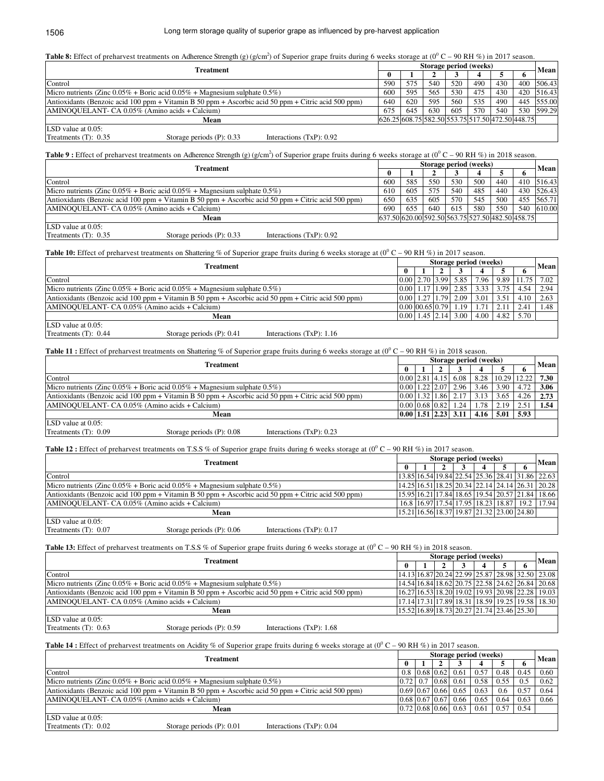# Long term storage quality of superior grape as influenced by pre-harvest application

| <b>Table 8:</b> Effect of preharvest treatments on Adherence Strength (g) (g/cm <sup>2</sup> ) of Superior grape fruits during 6 weeks storage at (0 <sup>0</sup> C – 90 RH %) in 2017 season. |  |  |
|------------------------------------------------------------------------------------------------------------------------------------------------------------------------------------------------|--|--|
|                                                                                                                                                                                                |  |  |

| Treatment                                                                                           |     |     | Storage period (weeks) |     |                                                  |     |  |             |  |  |
|-----------------------------------------------------------------------------------------------------|-----|-----|------------------------|-----|--------------------------------------------------|-----|--|-------------|--|--|
|                                                                                                     |     |     |                        |     |                                                  |     |  | <b>Mean</b> |  |  |
| Control                                                                                             | 590 | 575 | 540                    | 520 | 490                                              | 430 |  | 400 506.43  |  |  |
| Micro nutrients (Zinc $0.05\%$ + Boric acid $0.05\%$ + Magnesium sulphate $0.5\%$ )                 | 600 | 595 | 565                    | 530 | 475                                              | 430 |  | 420 516.43  |  |  |
| Antioxidants (Benzoic acid 100 ppm + Vitamin B 50 ppm + Ascorbic acid 50 ppm + Citric acid 500 ppm) |     |     | 595                    | 560 | 535                                              | 490 |  | 445 555.00  |  |  |
| AMINOQUELANT- CA 0.05% (Amino acids + Calcium)                                                      | 675 | 645 | 630                    | 605 | 570                                              | 540 |  | 530 599.29  |  |  |
| Mean                                                                                                |     |     |                        |     | 626.25 608.75 582.50 553.75 517.50 472.50 448.75 |     |  |             |  |  |
| LSD value at 0.05:                                                                                  |     |     |                        |     |                                                  |     |  |             |  |  |
| Treatments $(T)$ : 0.35<br>Storage periods $(P)$ : 0.33<br>Interactions $(TxP)$ : 0.92              |     |     |                        |     |                                                  |     |  |             |  |  |

**Table 9**: Effect of preharvest treatments on Adherence Strength (g) (g/cm<sup>2</sup>) of Superior grape fruits during 6 weeks storage at (0<sup>0</sup> C – 90 RH %) in 2018 season.

| <b>Treatment</b>                                                                                    |     | Storage period (weeks) |     |                                                  |     |     |     |        |  |
|-----------------------------------------------------------------------------------------------------|-----|------------------------|-----|--------------------------------------------------|-----|-----|-----|--------|--|
|                                                                                                     | 0   |                        |     |                                                  |     |     |     | Mean   |  |
| Control                                                                                             | 600 | 585                    | 550 | 530                                              | 500 | 440 | 410 | 516.43 |  |
| Micro nutrients (Zinc $0.05\%$ + Boric acid $0.05\%$ + Magnesium sulphate $0.5\%$ )                 | 610 | 605                    | 575 | 540                                              | 485 | 440 | 430 | 526.43 |  |
| Antioxidants (Benzoic acid 100 ppm + Vitamin B 50 ppm + Ascorbic acid 50 ppm + Citric acid 500 ppm) | 650 | 635                    | 605 | 570                                              | 545 | 500 | 455 | 565.71 |  |
| AMINOQUELANT- CA 0.05% (Amino acids + Calcium)                                                      | 690 | 655                    | 640 | 615                                              | 580 | 550 | 540 | 610.00 |  |
| Mean                                                                                                |     |                        |     | 637.50 620.00 592.50 563.75 527.50 482.50 458.75 |     |     |     |        |  |
| LSD value at 0.05:                                                                                  |     |                        |     |                                                  |     |     |     |        |  |

Treatments (T):  $0.35$ 

Storage periods (P): 0.33 Interactions (TxP): 0.92

**Table 10:** Effect of preharvest treatments on Shattering % of Superior grape fruits during 6 weeks storage at  $(0^0 C - 90 RH \%)$  in 2017 season.

|                                                                                                     | Treatment                    |                             |  | Storage period (weeks) |                                      |                                                     |      |      |       |             |  |
|-----------------------------------------------------------------------------------------------------|------------------------------|-----------------------------|--|------------------------|--------------------------------------|-----------------------------------------------------|------|------|-------|-------------|--|
|                                                                                                     |                              |                             |  |                        |                                      |                                                     |      |      |       | <b>Mean</b> |  |
| Control                                                                                             |                              |                             |  |                        |                                      | 0.0012.7013.9915.85                                 | 7.96 | 9.89 | 11.75 | 7.02        |  |
| Micro nutrients (Zinc $0.05\%$ + Boric acid $0.05\%$ + Magnesium sulphate $0.5\%$ )                 |                              |                             |  |                        | $0.00 \mid 1.17 \mid 1.99 \mid 2.85$ | 3.33                                                | 3.75 | 4.54 | 2.94  |             |  |
| Antioxidants (Benzoic acid 100 ppm + Vitamin B 50 ppm + Ascorbic acid 50 ppm + Citric acid 500 ppm) |                              |                             |  |                        |                                      | $\vert 0.00 \vert 1.27 \vert 1.79 \vert 2.09 \vert$ | 3.01 | 3.51 | 4.10  | 2.63        |  |
| AMINOQUELANT- CA 0.05% (Amino acids + Calcium)                                                      |                              |                             |  |                        |                                      | 0.00100.6510.7911.19                                | 1.71 | 2.11 | 2.41  | l.48        |  |
|                                                                                                     | Mean                         |                             |  |                        |                                      | $0.00$   1.45   2.14   3.00                         | 4.00 | 4.82 | 5.70  |             |  |
| LSD value at $0.05$ :                                                                               |                              |                             |  |                        |                                      |                                                     |      |      |       |             |  |
| Treatments $(T)$ : 0.44                                                                             | Storage periods $(P)$ : 0.41 | Interactions $(TxP)$ : 1.16 |  |                        |                                      |                                                     |      |      |       |             |  |

Table 11 : Effect of preharvest treatments on Shattering % of Superior grape fruits during 6 weeks storage at (0<sup>0</sup> C – 90 RH %) in 2018 season.

|                                                                                                     | Treatment                    |                             |  | Storage period (weeks) |                     |                                                     |                                  |       |       |             |  |
|-----------------------------------------------------------------------------------------------------|------------------------------|-----------------------------|--|------------------------|---------------------|-----------------------------------------------------|----------------------------------|-------|-------|-------------|--|
|                                                                                                     |                              |                             |  |                        |                     |                                                     |                                  |       |       | <b>Mean</b> |  |
| Control                                                                                             |                              |                             |  |                        |                     | $0.00$   2.81   4.15   6.08                         | 8.28                             | 10.29 | 12.22 | 7.30        |  |
| Micro nutrients (Zinc $0.05\%$ + Boric acid $0.05\%$ + Magnesium sulphate $0.5\%$ )                 |                              |                             |  |                        | 0.0011.2212.0712.96 | 3.46                                                | 3.90                             | 4.72  | 3.06  |             |  |
| Antioxidants (Benzoic acid 100 ppm + Vitamin B 50 ppm + Ascorbic acid 50 ppm + Citric acid 500 ppm) |                              |                             |  |                        |                     | $\vert 0.00 \vert 1.32 \vert 1.86 \vert 2.17 \vert$ | 3.13                             | 3.65  | 4.26  | 2.73        |  |
| AMINOQUELANT- CA 0.05% (Amino acids + Calcium)                                                      |                              |                             |  |                        | 0.00 0.68 0.82 1.24 | 1.78                                                | 2.19                             | 2.51  | 1.54  |             |  |
|                                                                                                     | Mean                         |                             |  |                        |                     |                                                     | 0.00   1.51   2.23   3.11   4.16 | 5.01  | 5.93  |             |  |
| LSD value at 0.05:                                                                                  |                              |                             |  |                        |                     |                                                     |                                  |       |       |             |  |
| Treatments $(T)$ : 0.09                                                                             | Storage periods $(P)$ : 0.08 | Interactions $(TxP)$ : 0.23 |  |                        |                     |                                                     |                                  |       |       |             |  |

**Table 12 :** Effect of preharvest treatments on T.S.S % of Superior grape fruits during 6 weeks storage at  $(0^0 C - 90 RH \%)$  in 2017 season.

|                                                                                                     | Treatment                    |                             |  | Storage period (weeks) |  |  |                                           |  |  |                                                             |  |  |
|-----------------------------------------------------------------------------------------------------|------------------------------|-----------------------------|--|------------------------|--|--|-------------------------------------------|--|--|-------------------------------------------------------------|--|--|
|                                                                                                     |                              |                             |  |                        |  |  |                                           |  |  | <b>Mean</b>                                                 |  |  |
| Control                                                                                             |                              |                             |  |                        |  |  |                                           |  |  | 13.85  16.54  19.84  22.54  25.36  28.41  31.86  22.63      |  |  |
| Micro nutrients (Zinc $0.05\%$ + Boric acid $0.05\%$ + Magnesium sulphate $0.5\%$ )                 |                              |                             |  |                        |  |  |                                           |  |  | 14.25  16.51  18.25  20.34  22.14  24.14  26.31  20.28      |  |  |
| Antioxidants (Benzoic acid 100 ppm + Vitamin B 50 ppm + Ascorbic acid 50 ppm + Citric acid 500 ppm) |                              |                             |  |                        |  |  |                                           |  |  | 15.95 16.21 17.84 18.65 19.54 20.57 21.84 18.66             |  |  |
| AMINOQUELANT- CA 0.05% (Amino acids + Calcium)                                                      |                              |                             |  |                        |  |  |                                           |  |  | 16.8   16.97   17.54   17.95   18.23   18.87   19.2   17.94 |  |  |
|                                                                                                     | Mean                         |                             |  |                        |  |  | 15.21 16.56 18.37 19.87 21.32 23.00 24.80 |  |  |                                                             |  |  |
| LSD value at $0.05$ :                                                                               |                              |                             |  |                        |  |  |                                           |  |  |                                                             |  |  |
| Treatments $(T)$ : 0.07                                                                             | Storage periods $(P)$ : 0.06 | Interactions $(TxP)$ : 0.17 |  |                        |  |  |                                           |  |  |                                                             |  |  |

**Table 13:** Effect of preharvest treatments on T.S.S % of Superior grape fruits during 6 weeks storage at  $(0^0 C - 90 R H W)$  in 2018 season.

|                                                                                                     | Treatment                                      |                             |  | Storage period (weeks) |  |  |  |  |                                           |                                                 |  |  |
|-----------------------------------------------------------------------------------------------------|------------------------------------------------|-----------------------------|--|------------------------|--|--|--|--|-------------------------------------------|-------------------------------------------------|--|--|
|                                                                                                     |                                                |                             |  |                        |  |  |  |  |                                           | Mean                                            |  |  |
| Control                                                                                             |                                                |                             |  |                        |  |  |  |  |                                           | 14.13 16.87 20.24 22.99 25.87 28.98 32.50 23.08 |  |  |
| Micro nutrients (Zinc $0.05\%$ + Boric acid $0.05\%$ + Magnesium sulphate $0.5\%$ )                 |                                                |                             |  |                        |  |  |  |  |                                           | 14.54 16.84 18.62 20.75 22.58 24.62 26.84 20.68 |  |  |
| Antioxidants (Benzoic acid 100 ppm + Vitamin B 50 ppm + Ascorbic acid 50 ppm + Citric acid 500 ppm) |                                                |                             |  |                        |  |  |  |  |                                           | 16.27 16.53 18.20 19.02 19.93 20.98 22.28 19.03 |  |  |
|                                                                                                     | AMINOQUELANT- CA 0.05% (Amino acids + Calcium) |                             |  |                        |  |  |  |  |                                           | 17.14 17.31 17.89 18.31 18.59 19.25 19.58 18.30 |  |  |
|                                                                                                     | Mean                                           |                             |  |                        |  |  |  |  | 15.52 16.89 18.73 20.27 21.74 23.46 25.30 |                                                 |  |  |
| LSD value at $0.05$ :                                                                               |                                                |                             |  |                        |  |  |  |  |                                           |                                                 |  |  |
| Treatments $(T)$ : 0.63                                                                             | Storage periods (P): 0.59                      | Interactions $(TxP)$ : 1.68 |  |                        |  |  |  |  |                                           |                                                 |  |  |

**Table 14 :** Effect of preharvest treatments on Acidity % of Superior grape fruits during 6 weeks storage at  $(0^0 C - 90 RH \%)$  in 2017 season.

|                                                                                                     | Treatment                                      |                             |  | Storage period (weeks) |                                     |                       |      |      |      |      |  |  |
|-----------------------------------------------------------------------------------------------------|------------------------------------------------|-----------------------------|--|------------------------|-------------------------------------|-----------------------|------|------|------|------|--|--|
|                                                                                                     |                                                |                             |  |                        |                                     |                       |      |      |      | Mean |  |  |
| Control                                                                                             |                                                |                             |  |                        | $0.8 \mid 0.68 \mid 0.62 \mid 0.61$ |                       | 0.57 | 0.48 | 0.45 | 0.60 |  |  |
| Micro nutrients (Zinc $0.05\%$ + Boric acid $0.05\%$ + Magnesium sulphate $0.5\%$ )                 |                                                |                             |  |                        | 0.72 0.7 0.68 0.61                  |                       | 0.58 | 0.55 | 0.5  | 0.62 |  |  |
| Antioxidants (Benzoic acid 100 ppm + Vitamin B 50 ppm + Ascorbic acid 50 ppm + Citric acid 500 ppm) |                                                |                             |  |                        |                                     | $0.69$ 0.67 0.66 0.65 | 0.63 | 0.6  | 0.57 | 0.64 |  |  |
|                                                                                                     | AMINOQUELANT- CA 0.05% (Amino acids + Calcium) |                             |  |                        |                                     | 0.68 0.67 0.67 0.66   | 0.65 | 0.64 | 0.63 | 0.66 |  |  |
|                                                                                                     | Mean                                           |                             |  |                        |                                     | $0.72$ 0.68 0.66 0.63 | 0.61 | 0.57 | 0.54 |      |  |  |
| LSD value at $0.05$ :                                                                               |                                                |                             |  |                        |                                     |                       |      |      |      |      |  |  |
| Treatments $(T)$ : 0.02                                                                             | Storage periods $(P)$ : 0.01                   | Interactions $(TxP)$ : 0.04 |  |                        |                                     |                       |      |      |      |      |  |  |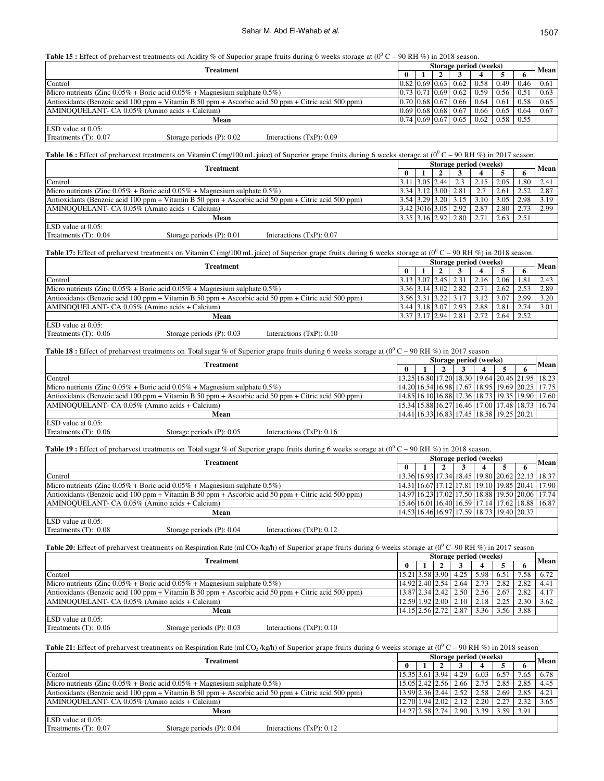**Table 15 :** Effect of preharvest treatments on Acidity % of Superior grape fruits during 6 weeks storage at  $(0^0 C - 90 RH \%)$  in 2018 season.

|                                                                                                     | Treatment                                                                           |                             |        | Storage period (weeks) |  |                             |                 |                   |      |      |  |
|-----------------------------------------------------------------------------------------------------|-------------------------------------------------------------------------------------|-----------------------------|--------|------------------------|--|-----------------------------|-----------------|-------------------|------|------|--|
|                                                                                                     |                                                                                     |                             | $_{0}$ |                        |  |                             |                 |                   |      | Mean |  |
| Control                                                                                             |                                                                                     |                             |        |                        |  | 0.82 0.69 0.63 0.62         |                 | $0.58 \quad 0.49$ | 0.46 | 0.61 |  |
|                                                                                                     | Micro nutrients (Zinc $0.05\%$ + Boric acid $0.05\%$ + Magnesium sulphate $0.5\%$ ) |                             |        |                        |  | 0.73 0.71 0.69 0.62         |                 | $0.59 \quad 0.56$ | 0.51 | 0.63 |  |
| Antioxidants (Benzoic acid 100 ppm + Vitamin B 50 ppm + Ascorbic acid 50 ppm + Citric acid 500 ppm) |                                                                                     |                             |        |                        |  | $0.70$ 0.68 0.67 0.66       | $0.64 \pm 0.61$ |                   | 0.58 | 0.65 |  |
| AMINOQUELANT- CA 0.05% (Amino acids + Calcium)                                                      |                                                                                     |                             |        |                        |  | $0.69$   0.68   0.68   0.67 |                 | $0.66 \pm 0.65$   | 0.64 | 0.67 |  |
|                                                                                                     | Mean                                                                                |                             |        |                        |  | $0.74$ 0.69 0.67 0.65       |                 | $0.62 \quad 0.58$ | 0.55 |      |  |
| LSD value at $0.05$ :                                                                               |                                                                                     |                             |        |                        |  |                             |                 |                   |      |      |  |
| Treatments $(T)$ : 0.07                                                                             | Storage periods $(P)$ : 0.02                                                        | Interactions $(TxP)$ : 0.09 |        |                        |  |                             |                 |                   |      |      |  |

Table 16 : Effect of preharvest treatments on Vitamin C (mg/100 mL juice) of Superior grape fruits during 6 weeks storage at (0<sup>0</sup> C – 90 RH %) in 2017 season.

| Treatment                                                                                           | Storage period (weeks) |              |  |                     |      |      |      |             |
|-----------------------------------------------------------------------------------------------------|------------------------|--------------|--|---------------------|------|------|------|-------------|
|                                                                                                     |                        |              |  |                     |      |      |      | <b>Mean</b> |
| Control                                                                                             |                        | 113.0512.441 |  | 2.3                 | 2.15 | 2.05 | 1.80 | 2.41        |
| Micro nutrients (Zinc $0.05\%$ + Boric acid $0.05\%$ + Magnesium sulphate $0.5\%$ )                 |                        |              |  | 3.34 3.12 3.00 2.81 | 2.7  | 2.61 | 2.52 | 2.87        |
| Antioxidants (Benzoic acid 100 ppm + Vitamin B 50 ppm + Ascorbic acid 50 ppm + Citric acid 500 ppm) |                        |              |  | 3.54 3.29 3.20 3.15 | 3.10 | 3.05 | 2.98 | 3.19        |
| AMINOQUELANT- CA 0.05% (Amino acids + Calcium)                                                      |                        |              |  | 3.42 3016 3.05 2.92 | 2.87 | 2.80 | 2.73 | 2.99        |
| Mean                                                                                                |                        |              |  | 3.35 3.16 2.92 2.80 | 2.71 | 2.63 | 2.51 |             |
| ILSD value at $0.05$ :                                                                              |                        |              |  |                     |      |      |      |             |

Treatments (T):  $0.04$ Storage periods (P): 0.01 Interactions (TxP): 0.07

**Table 17:** Effect of preharvest treatments on Vitamin C (mg/100 mL juice) of Superior grape fruits during 6 weeks storage at ( $0^0$ C – 90 RH %) in 2018 season.

|                                                                                                     | Treatment                                      |                             |  | Storage period (weeks) |                             |                       |      |      |      |      |  |  |
|-----------------------------------------------------------------------------------------------------|------------------------------------------------|-----------------------------|--|------------------------|-----------------------------|-----------------------|------|------|------|------|--|--|
|                                                                                                     |                                                |                             |  |                        |                             |                       |      |      |      | Mean |  |  |
| Control                                                                                             |                                                |                             |  |                        | $3.13$ $3.07$ $2.45$ $2.31$ |                       | 2.16 | 2.06 | 1.81 | 2.43 |  |  |
| Micro nutrients (Zinc $0.05\%$ + Boric acid $0.05\%$ + Magnesium sulphate $0.5\%$ )                 |                                                |                             |  |                        |                             | $3.36$ 3.14 3.02 2.82 | 2.71 | 2.62 | 2.53 | 2.89 |  |  |
| Antioxidants (Benzoic acid 100 ppm + Vitamin B 50 ppm + Ascorbic acid 50 ppm + Citric acid 500 ppm) |                                                |                             |  |                        |                             | 3.56 3.31 3.22 3.17   | 3.12 | 3.07 | 2.99 | 3.20 |  |  |
|                                                                                                     | AMINOQUELANT- CA 0.05% (Amino acids + Calcium) |                             |  |                        |                             | 3.44 3.18 3.07 2.93   | 2.88 | 2.81 | 2.74 | 3.01 |  |  |
|                                                                                                     | Mean                                           |                             |  |                        |                             | 3.37 3.17 2.94 2.81   | 2.72 | 2.64 | 2.52 |      |  |  |
| LSD value at $0.05$ :                                                                               |                                                |                             |  |                        |                             |                       |      |      |      |      |  |  |
| Treatments $(T)$ : 0.06                                                                             | Storage periods $(P)$ : 0.03                   | Interactions $(TxP)$ : 0.10 |  |                        |                             |                       |      |      |      |      |  |  |

Table 18 : Effect of preharvest treatments on Total sugar % of Superior grape fruits during 6 weeks storage at (0<sup>0</sup> C – 90 RH %) in 2017 season

|                                                                                                     | Treatment                    |                             |  | Storage period (weeks) |  |  |  |  |                                                 |                                                              |  |  |
|-----------------------------------------------------------------------------------------------------|------------------------------|-----------------------------|--|------------------------|--|--|--|--|-------------------------------------------------|--------------------------------------------------------------|--|--|
|                                                                                                     |                              |                             |  |                        |  |  |  |  |                                                 | Mean                                                         |  |  |
| Control                                                                                             |                              |                             |  |                        |  |  |  |  |                                                 | 13.25  16.80  17.20  18.30   19.64   20.46   21.95   18.23   |  |  |
| Micro nutrients (Zinc $0.05\%$ + Boric acid $0.05\%$ + Magnesium sulphate $0.5\%$ )                 |                              |                             |  |                        |  |  |  |  |                                                 | 14.20  16.54   16.98   17.67   18.95   19.69   20.25   17.75 |  |  |
| Antioxidants (Benzoic acid 100 ppm + Vitamin B 50 ppm + Ascorbic acid 50 ppm + Citric acid 500 ppm) |                              |                             |  |                        |  |  |  |  |                                                 | 14.85 16.10 16.88 17.36 18.73 19.35 19.90 17.60              |  |  |
| AMINOQUELANT- CA 0.05% (Amino acids + Calcium)                                                      |                              |                             |  |                        |  |  |  |  | 15.34 15.88 16.27 16.46 17.00 17.48 18.73 16.74 |                                                              |  |  |
|                                                                                                     | Mean                         |                             |  |                        |  |  |  |  | 14.41 16.33 16.83 17.45 18.58 19.25 20.21       |                                                              |  |  |
| LSD value at $0.05$ :                                                                               |                              |                             |  |                        |  |  |  |  |                                                 |                                                              |  |  |
| Treatments $(T)$ : 0.06                                                                             | Storage periods $(P)$ : 0.05 | Interactions $(TxP)$ : 0.16 |  |                        |  |  |  |  |                                                 |                                                              |  |  |

**Table 19 :** Effect of preharvest treatments on Total sugar % of Superior grape fruits during 6 weeks storage at  $(0^0 C - 90 RH \%)$  in 2018 season.

|                                                                                     | Treatment                    |                                                                                                     |  | Storage period (weeks) |  |  |  |  |                                           |                                                              |  |  |
|-------------------------------------------------------------------------------------|------------------------------|-----------------------------------------------------------------------------------------------------|--|------------------------|--|--|--|--|-------------------------------------------|--------------------------------------------------------------|--|--|
|                                                                                     |                              |                                                                                                     |  |                        |  |  |  |  |                                           | Mean                                                         |  |  |
| Control                                                                             |                              |                                                                                                     |  |                        |  |  |  |  |                                           | 13.36  16.93  17.34  18.45   19.80   20.62   22.13   18.37   |  |  |
| Micro nutrients (Zinc $0.05\%$ + Boric acid $0.05\%$ + Magnesium sulphate $0.5\%$ ) |                              |                                                                                                     |  |                        |  |  |  |  |                                           | 14.31  16.67  17.12  17.81  19.10  19.85  20.41  17.90       |  |  |
|                                                                                     |                              | Antioxidants (Benzoic acid 100 ppm + Vitamin B 50 ppm + Ascorbic acid 50 ppm + Citric acid 500 ppm) |  |                        |  |  |  |  |                                           | 14.97  16.23   17.02   17.50   18.88   19.50   20.06   17.74 |  |  |
| AMINOQUELANT- CA 0.05% (Amino acids + Calcium)                                      |                              |                                                                                                     |  |                        |  |  |  |  |                                           | 15.46 16.01 16.40 16.59 17.14 17.62 18.88 16.87              |  |  |
|                                                                                     | Mean                         |                                                                                                     |  |                        |  |  |  |  | 14.53 16.46 16.97 17.59 18.73 19.40 20.37 |                                                              |  |  |
| LSD value at $0.05$ :                                                               |                              |                                                                                                     |  |                        |  |  |  |  |                                           |                                                              |  |  |
| Treatments $(T)$ : 0.08                                                             | Storage periods $(P)$ : 0.04 | Interactions $(TxP)$ : 0.12                                                                         |  |                        |  |  |  |  |                                           |                                                              |  |  |

Table 20: Effect of preharvest treatments on Respiration Rate (ml CO<sub>2</sub>/kg/h) of Superior grape fruits during 6 weeks storage at (0<sup>0</sup> C-90 RH %) in 2017 season

|                                                                                                     | Treatment                    |                             |  | Storage period (weeks) |  |                              |      |      |      |             |  |  |
|-----------------------------------------------------------------------------------------------------|------------------------------|-----------------------------|--|------------------------|--|------------------------------|------|------|------|-------------|--|--|
|                                                                                                     |                              |                             |  |                        |  |                              |      |      |      | <b>Mean</b> |  |  |
| Control                                                                                             |                              |                             |  |                        |  | 15.21 3.58 3.90 4.25         | 5.98 | 6.51 | 7.58 | 6.72        |  |  |
| Micro nutrients (Zinc $0.05\%$ + Boric acid $0.05\%$ + Magnesium sulphate $0.5\%$ )                 |                              |                             |  |                        |  | 14.92 2.40 2.54 2.64         | 2.73 | 2.82 | 2.82 | 4.41        |  |  |
| Antioxidants (Benzoic acid 100 ppm + Vitamin B 50 ppm + Ascorbic acid 50 ppm + Citric acid 500 ppm) |                              |                             |  |                        |  | $13.87$ $2.34$ $2.42$ $2.50$ | 2.56 | 2.67 | 2.82 | 4.17        |  |  |
| AMINOQUELANT- CA 0.05% (Amino acids + Calcium)                                                      |                              |                             |  |                        |  | $12.59$ 1.92 2.00 2.10       | 2.18 | 2.25 | 2.30 | 3.62        |  |  |
|                                                                                                     | Mean                         |                             |  |                        |  | 14.15 2.56 2.72 2.87         | 3.36 | 3.56 | 3.88 |             |  |  |
| LSD value at $0.05$ :                                                                               |                              |                             |  |                        |  |                              |      |      |      |             |  |  |
| Treatments $(T)$ : 0.06                                                                             | Storage periods $(P)$ : 0.03 | Interactions $(TxP)$ : 0.10 |  |                        |  |                              |      |      |      |             |  |  |

**Table 21:** Effect of preharvest treatments on Respiration Rate (ml CO<sub>2</sub>/kg/h) of Superior grape fruits during 6 weeks storage at  $(0^0 C - 90 R$  H $\%$ ) in 2018 season

|                                                                                                     | Treatment                    |                             |                              | Storage period (weeks) |  |                              |      |       |      |      |  |  |
|-----------------------------------------------------------------------------------------------------|------------------------------|-----------------------------|------------------------------|------------------------|--|------------------------------|------|-------|------|------|--|--|
|                                                                                                     |                              |                             |                              |                        |  |                              |      |       | o    | Mean |  |  |
| Control                                                                                             |                              |                             |                              |                        |  | $15.35$ $3.61$ $3.94$ $4.29$ | 6.03 | 6.57  | 7.65 | 6.78 |  |  |
| Micro nutrients (Zinc $0.05\%$ + Boric acid $0.05\%$ + Magnesium sulphate $0.5\%$ )                 |                              |                             |                              |                        |  | $15.05$ $2.42$ $2.56$ $2.66$ | 2.75 | 12.85 | 2.85 | 4.45 |  |  |
| Antioxidants (Benzoic acid 100 ppm + Vitamin B 50 ppm + Ascorbic acid 50 ppm + Citric acid 500 ppm) |                              |                             | $13.99$ $2.36$ $2.44$ $2.52$ |                        |  |                              | 2.58 | 2.69  | 2.85 | 4.21 |  |  |
| AMINOQUELANT- CA 0.05% (Amino acids + Calcium)                                                      |                              |                             |                              |                        |  | $12.70$ 1.94 $2.02$   2.12   | 2.20 | 2.27  | 2.32 | 3.65 |  |  |
|                                                                                                     | Mean                         |                             |                              |                        |  | $14.27$   2.58   2.74   2.90 | 3.39 | 3.59  | 3.91 |      |  |  |
| LSD value at $0.05$ :                                                                               |                              |                             |                              |                        |  |                              |      |       |      |      |  |  |
| Treatments (T): 0.07                                                                                | Storage periods $(P)$ : 0.04 | Interactions $(TxP)$ : 0.12 |                              |                        |  |                              |      |       |      |      |  |  |